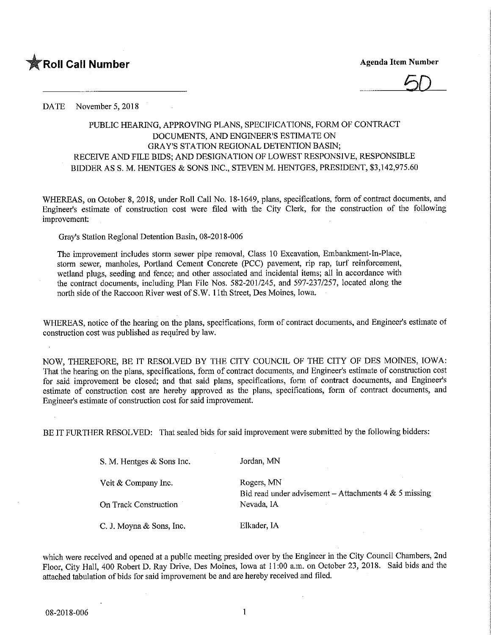

## DATE November 5, 2018

## PUBLIC HEARING, APPROVING PLANS, SPECIFICATIONS, FORM OF CONTRACT DOCUMENTS, AND ENGINEER'S ESTIMATE ON GRAY'S STATION REGIONAL DETENTION BASIN; RECEIVE AND FILE BIDS; AND DESIGNATION OF LOWEST RESPONSIVE, RESPONSIBLE BIDDER AS S. M. HENTGES & SONS INC., STEVEN M. HENTGES, PRESIDENT, \$3,142,975.60

WHEREAS, on October 8, 2018, under Roll Call No. 18-1649, plans, specifications, form of contract documents, and Engineer's estimate of construction cost were filed with the City Clerk, for the construction of the following improvement:

Gray's Station Regional Detention Basin, 08-2018-006

The improvement includes storm sewer pipe removal. Class 10 Excavation, Embankment-In-Place, storm sewer, manholes, Portland Cement Concrete (PCC) pavement, rip rap, turf reinforcement, wetland plugs, seeding and fence; and other associated and incidental items; all in accordance with the contract documents, including Plan File Nos. 582-201/245, and 597-237/257, located along the north side of the Raccoon River west of S.W. 11th Street, Des Moines, Iowa.

WHEREAS, notice of the hearing on the plans, specifications, form of contract documents, and Engineer's estimate of construction cost was published as required by law.

NOW, THEREFORE, BE IT RESOLVED BY THE CITY COUNCIL OF THE CITY OF DES MOINES, IOWA: That the hearing on the plans, specifications, form of contract documents, and Engineer's estimate of construction cost for said improvement be closed; and that said plans, specifications, form of contract documents, and Engineer's estimate of construction cost are hereby approved as the plans, specifications, form of contract documents, and Engineer's estimate of construction cost for said improvement.

BE IT FURTHER RESOLVED: That sealed bids for said improvement were submitted by the following bidders:

| S. M. Hentges & Sons Inc. | Jordan, MN                                              |
|---------------------------|---------------------------------------------------------|
| Veit $&$ Company Inc.     | Rogers, MN                                              |
|                           | Bid read under advisement – Attachments $4 & 5$ missing |
| On Track Construction     | Nevada, IA                                              |
| C. J. Moyna & Sons, Inc.  | Elkader, IA                                             |

which were received and opened at a public meeting presided over by the Engineer in the City Council Chambers, 2nd Floor, City Hall, 400 Robert D. Ray Drive, Des Moines, Iowa at 11 ;00 a.m. on October 23, 2018. Said bids and the attached tabulation of bids for said improvement be and are hereby received and filed.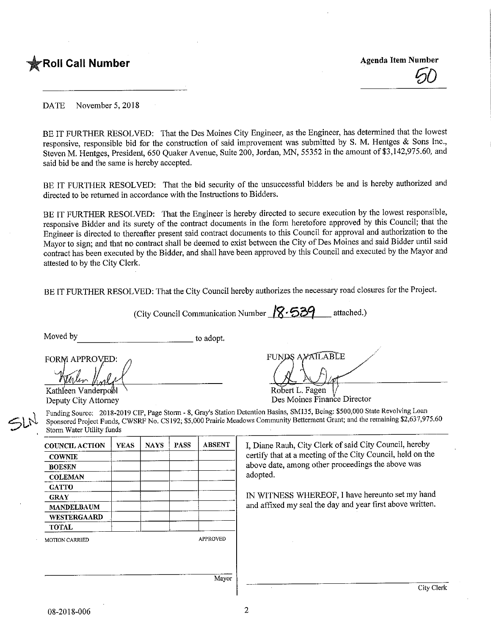

DATE November 5, 2018

BE IT FURTHER RESOLVED: That the Des Moines City Engineer, as the Engineer, has determined that the lowest responsive, responsible bid for the construction of said improvement was submitted by S. M. Hentges & Sons Inc., Steven M. Hentges, President, 650 Quaker Avenue, Suite 200, Jordan, MN, 55352 in the amount of \$3,142,975.60, and said bid be and the same is hereby accepted.

BE IT FURTHER RESOLVED: That the bid security of the unsuccessful bidders be and is hereby authorized and directed to be returned in accordance with the Instructions to Bidders.

BE IT FURTHER RESOLVED: That the Engineer is hereby directed to secure execution by the lowest responsible, responsive Bidder and its surety of the contract documents in the form heretofore approved by this Council; that the Engineer is directed to thereafter present said contract documents to this Council for approval and authorization to the Mayor to sign; and that no contract shall be deemed to exist between the City of Des Moines and said Bidder until said contract has been executed by the Bidder, and shall have been approved by this Council and executed by the Mayor and attested to by the City Clerk.

BE IT FURTHER RESOLVED: That the City Council hereby authorizes the necessary road closures for the Project.

(City Council Communication Number  $\sqrt{8.539}$  attached.)

Moved by to adopt.

FORM APPROVED:

Kathleen Vanderpool Deputy City Attorney

 $\leq h$ 

FUNDS AVAILABLE Robert L. Fagen

Des Moines Finance Director

Funding Source: 2018-2019 CIP, Page Storm - 8, Gray's Station Detention Basins, SM135, Being: \$500,000 State Revolving Loan Sponsored Project Funds, CWSRF No. CS192; \$5,000 Prairie Meadows Community Betterment Grant; and the remaining \$2,637,975.60 Storm Water Utility funds

| <b>COUNCIL ACTION</b> | <b>YEAS</b> | <b>NAYS</b> | <b>PASS</b> | <b>ABSENT</b>   | I, Diane Rauh, City Clerk of said City Council, hereby     |
|-----------------------|-------------|-------------|-------------|-----------------|------------------------------------------------------------|
| <b>COWNIE</b>         |             |             |             |                 | certify that at a meeting of the City Council, held on the |
| <b>BOESEN</b>         |             |             |             |                 | above date, among other proceedings the above was          |
| <b>COLEMAN</b>        |             |             |             |                 | adopted.                                                   |
| <b>GATTO</b>          |             |             |             |                 |                                                            |
| <b>GRAY</b>           |             |             |             |                 | IN WITNESS WHEREOF, I have hereunto set my hand            |
| <b>MANDELBAUM</b>     |             |             |             |                 | and affixed my seal the day and year first above written.  |
| <b>WESTERGAARD</b>    |             |             |             |                 |                                                            |
| <b>TOTAL</b>          |             |             |             |                 |                                                            |
| <b>MOTION CARRIED</b> |             |             |             | <b>APPROVED</b> |                                                            |
|                       |             |             |             |                 |                                                            |
|                       |             |             |             |                 |                                                            |
|                       |             |             |             |                 |                                                            |
|                       |             |             |             | Mayor           |                                                            |
|                       |             |             |             |                 | City Clerk                                                 |

08-2018-006

 $\overline{2}$ 

I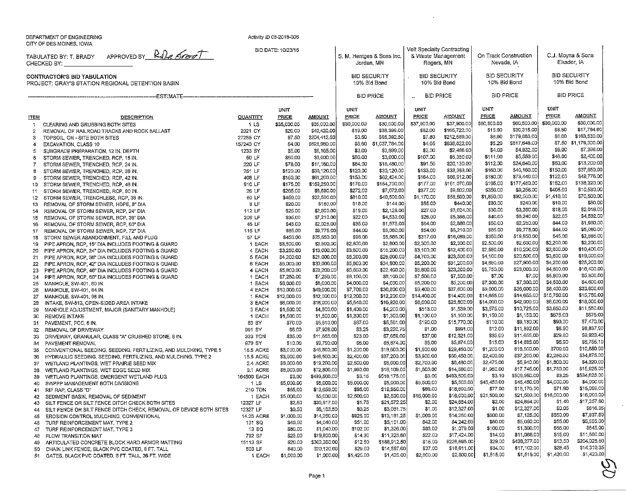DEPARTMENT OF ENGINEERINGCITY OF DESMOiNES, IOWA

 $\bf{8}$ 

**ITEM** 

 $\uparrow$ 

 $\overline{2}$ 

3

 $\overline{4}$ 

 $\mathbf{5}$ 

 $6^{\circ}$ 

 $\overline{7}$ 

Activity ID 08-2018-006

**QUANTITY**  1 LS 2021 CY 27255 CY 157240 CY 1233 SY 50 LF 220 LF 251 LF 40S LF 310 LF 26 LF 50 LF8 LF

TABULATED BY: T. BRADYCHECKED BY:APPROVED BY R.D. Komet

**DESCRIPTION** 

-ESTIMATE——

CONTRACTOR'S BID TABULATIONPROJECT: GRAY'S STATION REGIONAL DETENTION BAS!N

CLEARING AND GRUBBING BOTH SITES

 SUBGRADE PREPARATION, 12 IN. DEPTH STORM SEWER, TRENCHED, RCP, 15 IN. STORM SEWER, TRENCHED, RCP, 24 IN. STORM SEWER, TRENCHED, RCP, 36 IN. STORM SEWER, TRENCHED, RCP, 42 IN. STORM SEWER, TRENCHED, RCP. 48 IN. STORM SEWER, TRENCHED. RCP, 60 iN.STORM SEWER, TRENCHLESS, RCP, 36 IN. REMOVAL OF STORM SEWER. HDPE, 3" D!A

TOPSQ1L, ON - SITE BOTH SITESEXCAVATION, CLASS 10

REMOVAL OF RAILROAD TRACKS AND ROCK BALLAST

BID DATE: 10/23/13/eit Specialty Contracting C.J. Moyna & Sons S. M. Hentges & Sons Inc. On Track Construction& Waste ManagementElkader IA Jordan, MN Nevada, 1ARogers, MNBID SECURITY**BID SECURITY** BID SECURITYBID SECURITY10% Bid Bond 10% Bid Bond 10% Bid Bond 10% Bid BondBID PRICEBID PRICE**BID PRICE** BID PRICE $\overline{a}$ **UNIT** UNITUNITUNIT**UNIT** AMOUNT**PRICE** AMOUNT AMOUNTAMOUNTAMOUNT PRICE PRICE<u>PRICE</u> PRICE\$60,500,00 \$30,000.00 \$30,000.00 \$30,000.00 S35,OOO.QO \$35,OOO.OC \$30,000.00 \$37.900.00 537.900.0C \$60,500.00\*\*\*\*\*\*\*\*\*\*\* \$60,600.0<br>\$30.315.0 \$8.80 \$17,784.80 \$15.00 SS2.00 \$20.00 \$19.00 $9100,722.0$ \$53,315.0<br>179.883.0 \$40,420.0(899,399.0( \$13.00 \$6.00 \$163,530.00 \$3.50 \$7.80 3204,412.5[ \$7.50\$3.50 \$6.60395,392.5( 31.037,784.01\$7.60 34.05**4212.000.0** \$6.60 S5.20\$179,S83.Q( \$7.50 \$1.179.300.00 S62S,960.0( \$4.00 \$636,822.0(\$817,648.0[ \$7,398,00 \$3,699.00 \$2,466.00 \$6.00 S6.165.0f \$5.00 S3.00 \$2.00\$2,466.Q( \$5,350.01 \$4.00**97,992.0t**<br>45.550.0t \$3.699.0( S3,000.01\$48.00 \$2,400.00 33,000.01 \$107.00 \$111.00 \$60.0D S60.00SS.<br>SA 640.0 \$13,200.00 \$60.00 \$18,480,00 S20.13D.OI \$17.160.01 384.00 391.50 3112.00\$24,640.0( \$78.00#19,799.9<br>\$30.190.0 \$37,650.00 \$120.00 \$33,383,00 \$150.00 \$120.00 \$30,120.01\$120.00 \$30,120.0<br>\$62,424.0 £133.00 $0.0000$ \$40,160.0( \$33.383.0( \$122.00 \$49,776.00 \$164.00 \$180.00 \$150.00 \$S1,200.01\$155.00<br>\$170.00 \$164.00 \$177.00\$66,91ZO( \$161,070.01\$180.00 \$195.00\$73,440.01 \$177.450.0C\$62,424.01 \$154.700.0(\$152.00 \$138,320.00 \$175.00 \$159,250.0(\$170.00 \$272.00\$405.00 \$10,530.00 \$7,072.00 \$377.00 \$356.00 \$6,890.0( $5,250.0$  3265.00\$377.00  $x_2, 0, 0, 0, 0$ \$356.00 31.850.00ن<br>\$40,500.0 \$70,500.00 \$450.00 \$810.00 \$1,410.00 S22.500.01 \$58,500.D( \$92,500.0C\$450.00 S20.00\$810.00 \$13.00\$1.170.00 \$55.00\$144.00 \$440.00 \$10.00 \$80.00 \$160.01 \$30.00 $92.90.0$  $\frac{9+1}{2}$  $0.4000$ so ore onl **54.144.00** \$25.00\$2,800.01\$19.00\$27.00\$3,024.0(**\$30.00**  $^{4}$ \$2,128.01\$35.0037,210.01\$22.00£4.532.01 $***$  $\boldsymbol{\phi}$ \$40.00 $***$ \$45.00\$35.00\$64.00\$50.00\$2,250.0[32.025.01\$1,575.01\*\*\*\*\*\*\* S85.00\$9,775.01 $44.74.00$ \$54.00\$6,210.01\$85.00\$9,775.0( $\sim$ , $\sim$ \$450.00\$350.00\$25,650.01\$98.00\$5,5S6.0i9317.00 $919,009.0$  $5,900.0$ S2.300.01\$2,500.00\$2,500.0(S3.500.0i\$2.800.00S2.SOO.Oi32,300.00*W.U.LOU.* 313,000.0'\$3,800.00 $$10,200.0$  $93,100,00$ \*\*\*\*\*\*\* \$2,550,00**\*20,000.0** \$21,000.0'\$5,200,00\$26,000.0 $47.700.00$ **323,000.0** \$4,100.00\$30.000.0 $\bullet$ 5,500.00 \$5,200.00331,200.01 $\ddotsc$ *ex., pools*  $33.999.8$ \*\*\*\*,\*\*\*\* S23.200.0\$5,600.00*econ*  $\sim$ 323.200.0i\$5.750.00*DI COULD* 37,260.0\$8,100.00 $\downarrow$ <sub>0</sub>,  $\downarrow$ 00.0 \$7,500.00S7.500.0i $\ddot{ }$ **\*\*\*\*** \$7,300.01

| 14  | REMOVAL OF STORM SEWER, RCP, 24" DIA                               | 112 LF          | \$25.00     | \$2,800.00   | 219.00      | \$2,120.00   | \$27.UU     | \$3,024.00   | DOU.UU      | და,ახს. სს   | <b>DIO.UU</b> | pz,u io.uu   |
|-----|--------------------------------------------------------------------|-----------------|-------------|--------------|-------------|--------------|-------------|--------------|-------------|--------------|---------------|--------------|
| 15  | REMOVAL OF STORM SEWER, RCP, 36" DIA                               | 206 LF          | \$35.00     | \$7,210.00   | \$22.00     | \$4,532,00   | \$26.00     | \$5,356,00   | \$40,00     | \$8,240.00   | \$22.00       | \$4,532.00   |
| 16  | REMOVAL OF STORM SEWER, RCP, 60" DIA                               | 45 LF           | \$45.00     | \$2,025,00   | \$35.00     | \$1,575,00   | \$64.00     | \$2,880.00   | \$50.00     | \$2,250.00   | \$44.00       | \$1,980.00   |
| 17  | REMOVAL OF STORM SEWER, RCP, 72" DIA                               | 115 LF          | \$85,00     | \$9,775.00   | \$44.00     | \$5,060,00   | \$54.00     | \$6,210.00   | \$85.00     | \$9,775.00   | \$44.00       | \$5,060.00   |
| 18. | STORM SEWER ABANDONMENT, FILL AND PLUG                             | 57 LF           | \$450.00    | \$25,650.00  | \$98.00     | \$5,586.00   | \$317.00    | \$18,069,00  | \$350,00    | \$19,950.00  | \$45.00       | \$2,565.00   |
| 19. | PIPE APRON, RCP, 15" DIA INCLUDES FOOTING & GUARD                  | 1 EACH          | \$3,500.00  | \$3,500.00   | \$2,800,00  | \$2,800.00   | \$2,300.00  | \$2,300.00   | \$2,500.00  | \$2,500.00   | \$2,200.00    | \$2,200.00   |
| 20  | PIPE APRON, RCP, 24" DIA INCLUDES FOOTING & GUARD                  | 4 EACH          | \$3,250,00  | \$13,000.00  | \$3,800.00  | \$15,200.00  | \$3,100.00  | \$12,400.00  | \$2,550,00  | \$10,200.00  | \$2,600.00    | \$10,400.00  |
| 21  | PIPE APRON, RCP, 36" DIA INCLUDES FOOTING & GUARD                  | 5 EACH          | \$4,200.00  | \$21,000,00  | \$5,200,00  | \$26,000.00  | \$4,700.00  | \$23,500.00  | \$4,100.00  | \$20,500.00  | \$3,800.00    | \$19,000,00  |
| 22  | PIPE APRON, RCP, 42" DIA INCLUDES FOOTING & GUARD                  | 6 EACH          | \$5,000.00  | \$30,000.00  | \$5,800.00  | \$34,800.00  | \$5,200.00  | \$31,200.00  | \$4,650.00  | \$27,900.00  | \$4,200.00    | \$25,200.00  |
| 23  | PIPE APRON, RCP, 48" DIA INCLUDES FOOTING & GUARD                  | 4 EACH          | \$5,800.00  | \$23,200.00  | \$5,600.00  | \$22,400.00  | \$5,800.00  | \$23,200.00  | \$5,750.00  | \$23,000.00  | \$4,600.00    | \$18,400.00  |
| 24  | PIPE APRON, RCP, 60" DIA INCLUDES FOOTING & GUARD                  | 1 EACH          | \$7,250,00  | \$7,250.00   | \$8,100.00  | \$8,100.00   | \$7,500.00  | \$7,500,00   | \$7.00      | \$7.00       | \$5,800.00    | \$5,800.00   |
| 25  | MANHOLE, SW-401, 60 IN.                                            | 1 EACH          | \$8,000.00  | \$8,000,00   | \$4,000.00  | \$4,000.00   | \$5,200.00  | \$5,200.00   | \$7,300.00  | \$7,300,00   | \$4,600.00    | \$4,600.00   |
| 26. | MANHOLE, SW-401, 84 IN.                                            | 4 EACH          | \$10,000,00 | \$40,000.00  | \$7,700.00  | \$30,800.00  | \$9,400.00  | \$37,600.00  | \$9,000.00  | \$36,000.00  | \$8,400.00    | \$33,600.00  |
| 27  | MANHOLE, SW-401, 96 IN.                                            | 1 EACH          | \$12,000.00 | \$12,000,00  | \$12,200.00 | \$12,200.00  | \$14,400.00 | \$14,400.00  | \$14,655.00 | \$14,655.00  | \$15,750.00   | \$15,750.00  |
| 28  | INTAKE, SW-513, OPEN-SIDED AREA INTAKE                             | 3 EACH          | \$6,000,00  | \$18,000.00  | \$5,640.00  | \$16,920.00  | \$8,600.00  | \$25,800.00  | \$14,000,00 | \$42,000.00  | \$6,000.00    | \$18,000.00  |
| 29. | MANHOLE ADJUSTMENT, MAJOR (SANITARY MANHOLE)                       | 3 EACH          | \$1,500.00  | \$4,500,00   | \$1,400.00  | \$4,200.00   | \$513.00    | \$1,539.00   | \$3,575.00  | \$10,725.00  | \$3,850.00    | \$11,550.00  |
| 30  | <b>REMOVE INTAKE</b>                                               | 1 EACH          | \$1,500.00  | \$1,500.00   | \$1,300.00  | \$1,300,00   | \$1,100.00  | \$1,100.00   | \$1,150.00  | \$1,150.00   | \$675.00      | \$675.00     |
| 31  | PAVEMENT, PCC, 6 IN.                                               | 83 SY           | \$70.00     | \$5,810.00   | \$67,00     | \$5,561.00   | \$190.00    | \$15,770.00  | \$110,00    | \$9,130.00   | \$90,00       | \$7,470,00   |
| 32  | REMOVAL OF DRIVEWAY                                                | 991 SY          | \$8.00      | \$7,928.00   | \$3.25      | \$3,220.75   | \$1.00      | \$991.00     | \$12.00     | \$11,892.00  | \$6,90        | \$6,837.90   |
| 33  | DRIVEWAY, GRANULAR, CLASS "A" CRUSHED STONE, 6 IN.                 | 333 TON         | \$35.00     | \$11,655,00  | \$23.00     | \$7,659.00   | 537.00      | \$12,321.00  | \$35.00     | \$11,655,00  | \$29.80       | \$9,923.40   |
| 34  | PAVEMENT REMOVAL                                                   | 979 SY          | \$10.00     | \$9,790.00   | \$6.00      | \$5,874.00   | \$6.00      | \$5,874.00   | \$15.00     | \$14,685.00  | \$6,90        | \$6,755.10   |
| 35  | CONVENTIONAL SEEDING, SEEDING, FERTILIZING, AND MULCHING, TYPE 5   | 15.5 ACRE       | \$3,000.00  | \$46,500,00  | \$1,200.00  | \$18,600.00  | \$1,900.00  | \$29,450.00  | \$1,200.00  | \$18,600,00  | \$700.00      | \$10,850.00  |
| 36  | HYDRAULIC SEEDING, SEEDING, FERTILIZING, AND MULCHING, TYPE 2      | 15.5 ACRE       | \$3,000.00  | \$46,500.00  | \$2,400.00  | \$37,200.00  | \$3,900.00  | \$60,450.00  | \$2,400.00  | \$37,200.00  | \$2,250.00    | \$34,875.00  |
| 37  | WETLAND PLANTINGS, WET PRAIRIE SEED MIX                            | 2.4 ACRE        | \$8,000.00  | \$19,200,00  | \$2,500.00  | \$6,000.00   | \$2,700.00  | \$6,480.00   | \$2,475.00  | \$5,940.00   | \$1,800,00    | \$4,320,00   |
| 38  | WETLAND PLANTINGS, WET EDGE SEED MIX                               | 9.1 ACRE        | \$8,000.00  | \$72,800.00  | \$1,990.00  | \$18,109.00  | \$1,600.00  | \$14,560.00  | \$1,950.00  | \$17,745.00  | \$1,750.00    | \$15,925.00  |
| 39  | WETLAND PLANTINGS, EMERGENT WETLAND PLUG                           | 164500 EACH     | \$3,00      | \$493,500,00 | \$3.15      | \$518,175.00 | \$3.00      | \$493,500,00 | \$3.10      | \$509,950,00 | \$3.25        | \$534,625.00 |
| 40  | SWPPP MANAGEMENT BOTH DIVISIONS                                    | 1 <sub>LS</sub> | \$5,000.00  | \$5,000.00   | \$5,000.00  | \$5,000.00   | \$5,500.00  | \$5,500.00   | \$45,450.00 | \$45,450.00  | \$4,000.00    | \$4,000.00   |
|     | 41 RIP RAP. CLASS "D"                                              | 210 TON         | \$65,00     | \$13,650.00  | \$95,00     | \$19,950.00  | \$89,00     | \$18,690.00  | \$77.00     | \$16,170.00  | \$71,90       | \$15,099.00  |
|     | 42 SEDIMENT BASIN, REMOVAL OF SEDIMENT                             | 1 EACH          | \$5,000,00  | \$5,000.00   | \$2,500.00  | \$2,500.00   | \$16,000.00 | \$16,000.00  | \$21,500,00 | \$21,500.00  | \$16,000.00   | \$16,000.00  |
|     | 43 SILT FENCE OR SILT FENCE DITCH CHECK BOTH SITES                 | 12327 LF        | \$2.50      | \$30,817.50  | \$1.75      | \$21,572.25  | \$2,00      | \$24,654.00  | \$2.00      | \$24,654.00  | \$1.40        | \$17,257.80  |
| 44  | SILT FENCE OR SILT FENCE DITCH CHECK, REMOVAL OF DEVICE BOTH SITES | 12327 LF        | \$0.50      | \$6,163,50   | \$0.25      | \$3,081.75   | \$1,00      | \$12,327.00  | \$1.00      | \$12,327.00  | \$0.05        | \$616,35     |
| 45  | EROSION CONTROL MULCHING, CONVENTIONAL                             | 14.25 ACRE      | \$1,000.00  | \$14,250.00  | \$925.00    | \$13,181.25  | \$1,000.00  | \$14,250.00  | \$500.00    | \$7,125,00   | \$550.00      | \$7,837.50   |
| 46  | TURF REINFORCEMENT MAT, TYPE 2                                     | 101 SQ          | \$40.00     | \$4,040.00   | \$51,00     | \$5,151.00   | \$42.00     | \$4,242.00   | \$50.00     | \$5,050.00   | \$55,00       | \$5,555.00   |
| 47  | TURF REINFORCEMENT MAT, TYPE 3                                     | 13 SQ           | \$80.00     | \$1,040.00   | \$102.00    | \$1,326.00   | \$83,00     | \$1,079.00   | \$100.00    | \$1,300.00   | \$65,00       | \$845.00     |
|     | 48 FLOW TRANSITION MAT                                             | 792 SF          | \$25.00     | \$19,800.00  | \$14.30     | \$11,325.60  | \$22.00     | \$17,424.00  | \$14.00     | \$11,088,00  | \$15.00       | \$11,880.00  |
|     | 49 ARTICULATED CONCRETE BLOCK HARD ARMOR MATTING                   | 15113 SF        | \$20.00     | \$302,260.00 | \$12.50     | \$188,912.50 | \$15.00     | \$226,695.00 | \$29.00     | \$438,277.00 | \$13.50       | \$204,025.50 |
|     | 50 CHAIN LINK FENCE, BLACK PVC COATED, 8 FT, TALL                  | 503 LF          | \$40.00     | \$20,120.00  | \$29.00     | \$14,587,00  | \$37.00     | \$18,611.00  | \$34.00     | \$17,102.00  | \$28.45       | \$14,310.35  |
|     | 51 GATES, BLACK PVC COATED, 8 FT. TALL, 26 FT. WIDE                | 1 EACH          | \$1,000.00  | \$1,000.00   | \$1,425.00  | \$1,425.00   | \$2,800.00  | \$2,800.00   | \$1,515,00  | \$1,515.00   | \$1,420.00    | \$1,420.00   |
|     |                                                                    |                 |             |              |             |              |             |              |             |              |               |              |